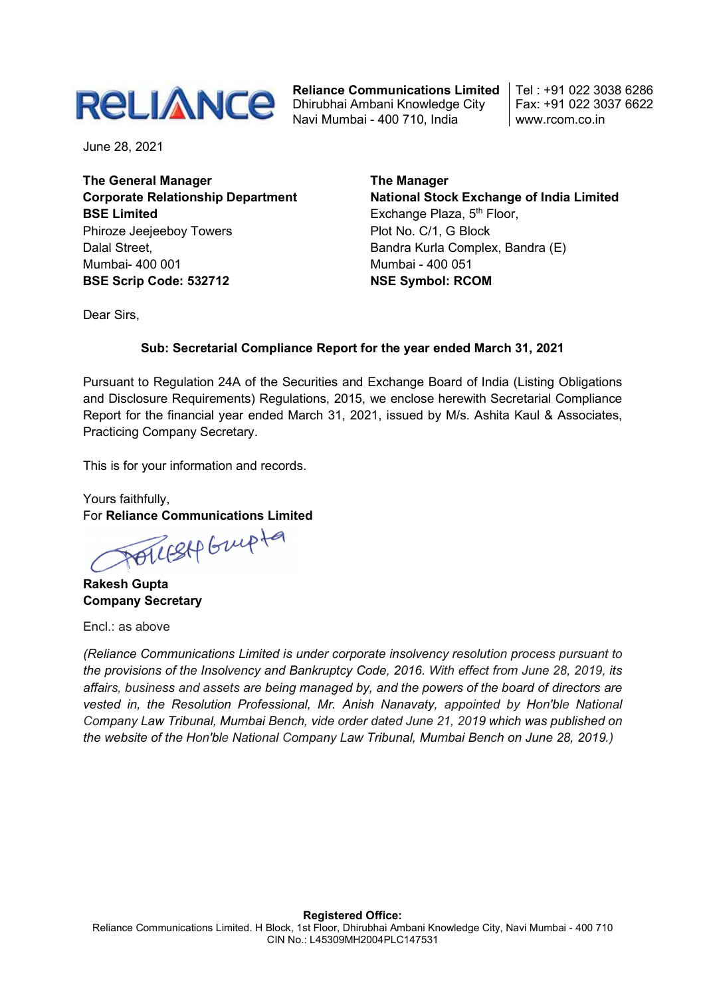

Reliance Communications Limited Dhirubhai Ambani Knowledge City Navi Mumbai - 400 710, India

Tel : +91 022 3038 6286 Fax: +91 022 3037 6622 www.rcom.co.in

June 28, 2021

The General Manager Corporate Relationship Department BSE Limited Phiroze Jeejeeboy Towers Dalal Street, Mumbai- 400 001 BSE Scrip Code: 532712

The Manager National Stock Exchange of India Limited Exchange Plaza, 5<sup>th</sup> Floor, Plot No. C/1, G Block Bandra Kurla Complex, Bandra (E) Mumbai - 400 051 NSE Symbol: RCOM

Dear Sirs,

## Sub: Secretarial Compliance Report for the year ended March 31, 2021

Pursuant to Regulation 24A of the Securities and Exchange Board of India (Listing Obligations and Disclosure Requirements) Regulations, 2015, we enclose herewith Secretarial Compliance Report for the financial year ended March 31, 2021, issued by M/s. Ashita Kaul & Associates, Practicing Company Secretary.

This is for your information and records.

Yours faithfully, For Reliance Communications Limited

POLLESAP Grupta

Rakesh Gupta Company Secretary

Encl.: as above

(Reliance Communications Limited is under corporate insolvency resolution process pursuant to the provisions of the Insolvency and Bankruptcy Code, 2016. With effect from June 28, 2019, its affairs, business and assets are being managed by, and the powers of the board of directors are vested in, the Resolution Professional, Mr. Anish Nanavaty, appointed by Hon'ble National Company Law Tribunal, Mumbai Bench, vide order dated June 21, 2019 which was published on the website of the Hon'ble National Company Law Tribunal, Mumbai Bench on June 28, 2019.)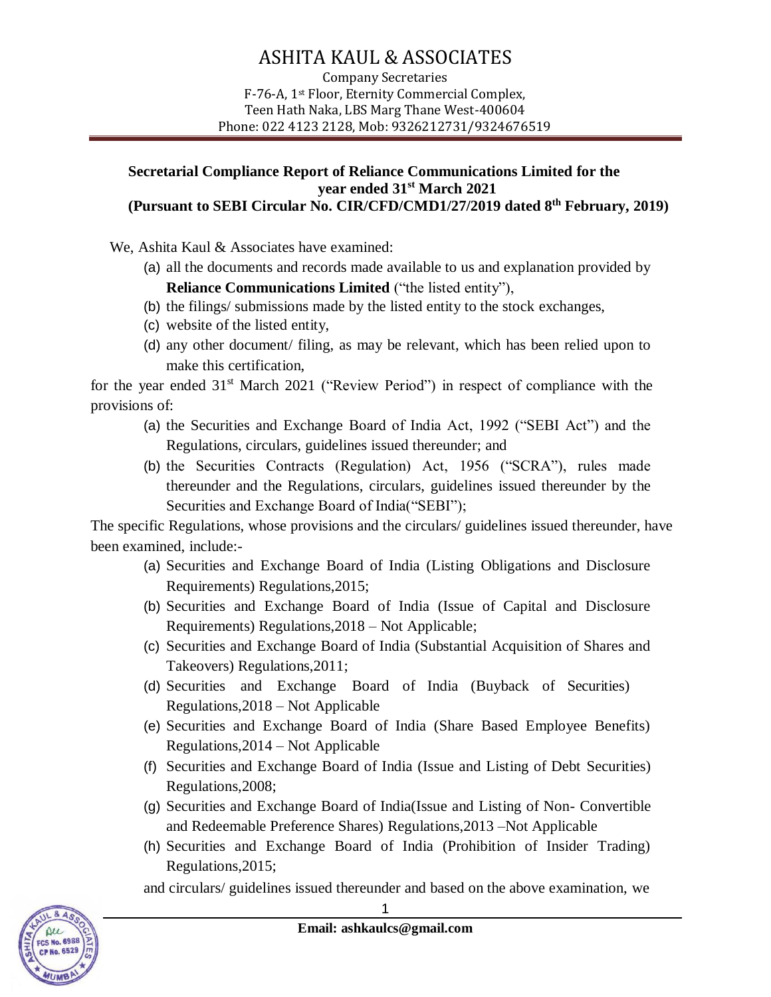## ASHITA KAUL & ASSOCIATES

Company Secretaries F-76-A, 1st Floor, Eternity Commercial Complex, Teen Hath Naka, LBS Marg Thane West-400604 Phone: 022 4123 2128, Mob: 9326212731/9324676519

## **Secretarial Compliance Report of Reliance Communications Limited for the year ended 31st March 2021 (Pursuant to SEBI Circular No. CIR/CFD/CMD1/27/2019 dated 8 th February, 2019)**

We, Ashita Kaul & Associates have examined:

(a) all the documents and records made available to us and explanation provided by

**Reliance Communications Limited** ("the listed entity"),

- (b) the filings/ submissions made by the listed entity to the stock exchanges,
- (c) website of the listed entity,
- (d) any other document/ filing, as may be relevant, which has been relied upon to make this certification,

for the year ended 31<sup>st</sup> March 2021 ("Review Period") in respect of compliance with the provisions of:

- (a) the Securities and Exchange Board of India Act, 1992 ("SEBI Act") and the Regulations, circulars, guidelines issued thereunder; and
- (b) the Securities Contracts (Regulation) Act, 1956 ("SCRA"), rules made thereunder and the Regulations, circulars, guidelines issued thereunder by the Securities and Exchange Board of India("SEBI");

The specific Regulations, whose provisions and the circulars/ guidelines issued thereunder, have been examined, include:-

- (a) Securities and Exchange Board of India (Listing Obligations and Disclosure Requirements) Regulations,2015;
- (b) Securities and Exchange Board of India (Issue of Capital and Disclosure Requirements) Regulations,2018 – Not Applicable;
- (c) Securities and Exchange Board of India (Substantial Acquisition of Shares and Takeovers) Regulations,2011;
- (d) Securities and Exchange Board of India (Buyback of Securities) Regulations,2018 – Not Applicable
- (e) Securities and Exchange Board of India (Share Based Employee Benefits) Regulations,2014 – Not Applicable
- (f) Securities and Exchange Board of India (Issue and Listing of Debt Securities) Regulations,2008;
- (g) Securities and Exchange Board of India(Issue and Listing of Non- Convertible and Redeemable Preference Shares) Regulations,2013 –Not Applicable
- (h) Securities and Exchange Board of India (Prohibition of Insider Trading) Regulations,2015;

and circulars/ guidelines issued thereunder and based on the above examination, we



1